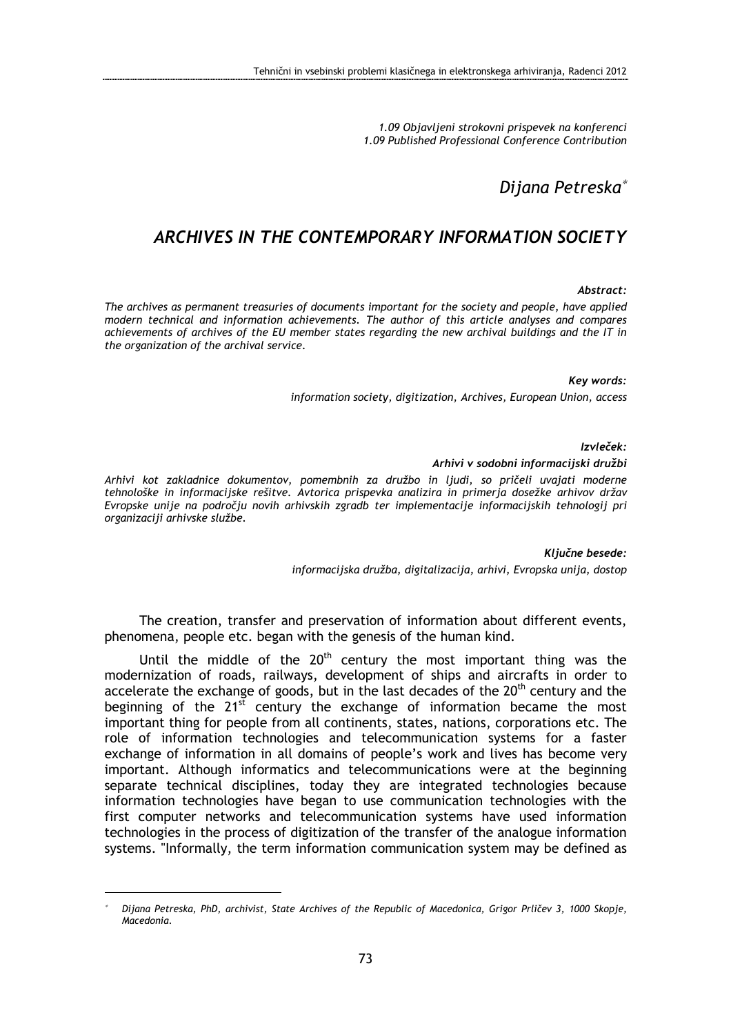1.09 Objavljeni strokovni prispevek na konferenci 1.09 Published Professional Conference Contribution

# Dijana Petreska<sup>∗</sup>

# ARCHIVES IN THE CONTEMPORARY INFORMATION SOCIETY

#### Abstract:

The archives as permanent treasuries of documents important for the society and people, have applied modern technical and information achievements. The author of this article analyses and compares achievements of archives of the EU member states regarding the new archival buildings and the IT in the organization of the archival service.

Key words:

information society, digitization, Archives, European Union, access

Izvleček:

#### Arhivi v sodobni informacijski družbi

Arhivi kot zakladnice dokumentov, pomembnih za družbo in ljudi, so pričeli uvajati moderne tehnološke in informacijske rešitve. Avtorica prispevka analizira in primerja dosežke arhivov držav Evropske unije na področju novih arhivskih zgradb ter implementacije informacijskih tehnologij pri organizaciji arhivske službe.

> Ključne besede: informacijska družba, digitalizacija, arhivi, Evropska unija, dostop

The creation, transfer and preservation of information about different events, phenomena, people etc. began with the genesis of the human kind.

Until the middle of the  $20<sup>th</sup>$  century the most important thing was the modernization of roads, railways, development of ships and aircrafts in order to accelerate the exchange of goods, but in the last decades of the  $20<sup>th</sup>$  century and the beginning of the  $21^{5t}$  century the exchange of information became the most important thing for people from all continents, states, nations, corporations etc. The role of information technologies and telecommunication systems for a faster exchange of information in all domains of people's work and lives has become very important. Although informatics and telecommunications were at the beginning separate technical disciplines, today they are integrated technologies because information technologies have began to use communication technologies with the first computer networks and telecommunication systems have used information technologies in the process of digitization of the transfer of the analogue information systems. "Informally, the term information communication system may be defined as

<sup>∗</sup> Dijana Petreska, PhD, archivist, State Archives of the Republic of Macedonica, Grigor Prličev 3, 1000 Skopje, Macedonia.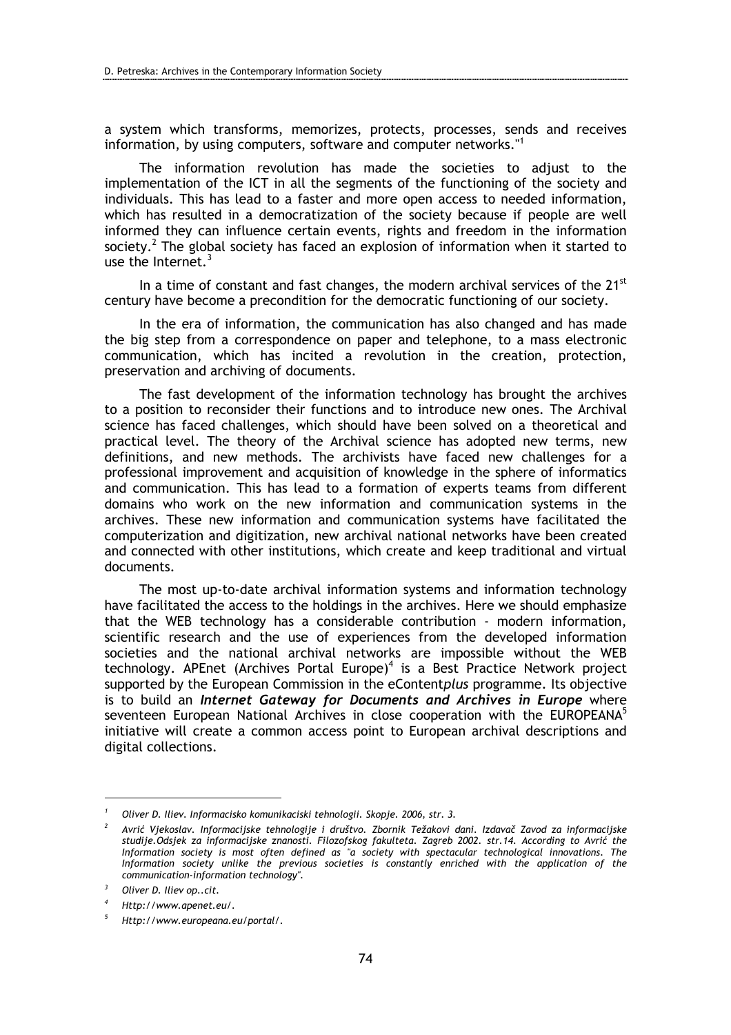a system which transforms, memorizes, protects, processes, sends and receives information, by using computers, software and computer networks."<sup>1</sup>

The information revolution has made the societies to adjust to the implementation of the ICT in all the segments of the functioning of the society and individuals. This has lead to a faster and more open access to needed information, which has resulted in a democratization of the society because if people are well informed they can influence certain events, rights and freedom in the information society.<sup>2</sup> The global society has faced an explosion of information when it started to use the Internet.<sup>3</sup>

In a time of constant and fast changes, the modern archival services of the  $21<sup>st</sup>$ century have become a precondition for the democratic functioning of our society.

In the era of information, the communication has also changed and has made the big step from a correspondence on paper and telephone, to a mass electronic communication, which has incited a revolution in the creation, protection, preservation and archiving of documents.

The fast development of the information technology has brought the archives to a position to reconsider their functions and to introduce new ones. The Archival science has faced challenges, which should have been solved on a theoretical and practical level. The theory of the Archival science has adopted new terms, new definitions, and new methods. The archivists have faced new challenges for a professional improvement and acquisition of knowledge in the sphere of informatics and communication. This has lead to a formation of experts teams from different domains who work on the new information and communication systems in the archives. These new information and communication systems have facilitated the computerization and digitization, new archival national networks have been created and connected with other institutions, which create and keep traditional and virtual documents.

The most up-to-date archival information systems and information technology have facilitated the access to the holdings in the archives. Here we should emphasize that the WEB technology has a considerable contribution - modern information, scientific research and the use of experiences from the developed information societies and the national archival networks are impossible without the WEB technology. APEnet (Archives Portal Europe)<sup>4</sup> is a Best Practice Network project supported by the European Commission in the eContentplus programme. Its objective is to build an *Internet Gateway for Documents and Archives in Europe* where seventeen European National Archives in close cooperation with the EUROPEANA<sup>5</sup> initiative will create a common access point to European archival descriptions and digital collections.

<sup>1</sup> Oliver D. Iliev. Informacisko komunikaciski tehnologii. Skopje. 2006, str. 3.

<sup>2</sup> Avrić Vjekoslav. Informacijske tehnologije i društvo. Zbornik Težakovi dani. Izdavač Zavod za informacijske studije.Odsjek za informacijske znanosti. Filozofskog fakulteta. Zagreb 2002. str.14. According to Avrić the Information society is most often defined as "a society with spectacular technological innovations. The Information society unlike the previous societies is constantly enriched with the application of the communication-information technology".

<sup>3</sup> Oliver D. Iliev op..cit.

<sup>4</sup> Http://www.apenet.eu/.

<sup>5</sup> Http://www.europeana.eu/portal/.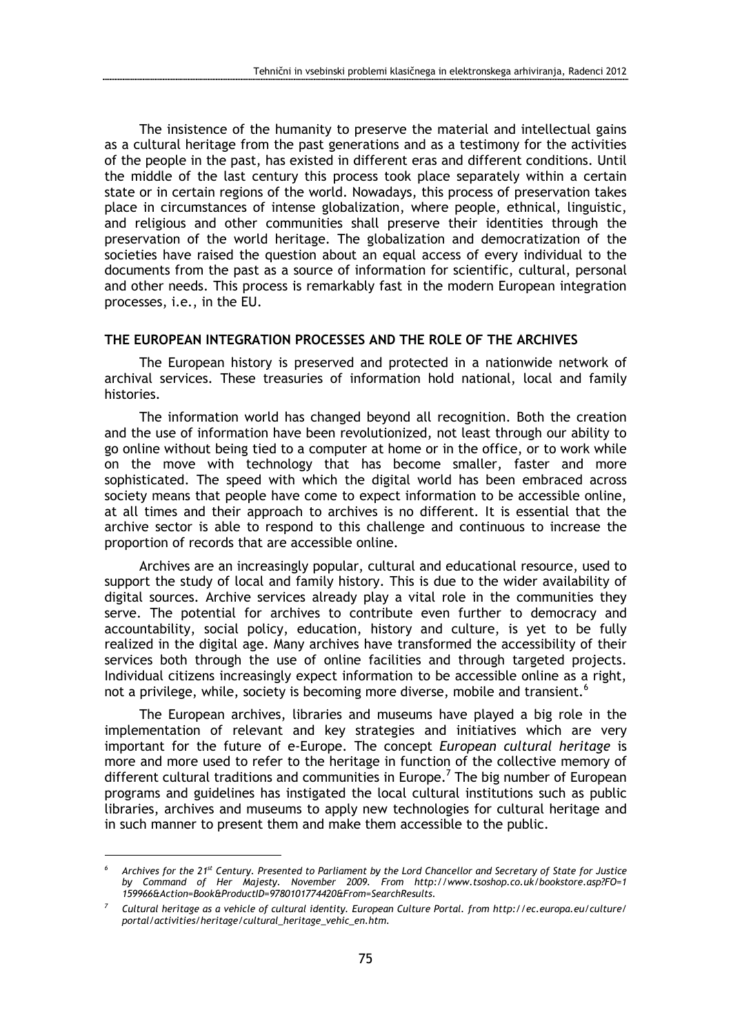The insistence of the humanity to preserve the material and intellectual gains as a cultural heritage from the past generations and as a testimony for the activities of the people in the past, has existed in different eras and different conditions. Until the middle of the last century this process took place separately within a certain state or in certain regions of the world. Nowadays, this process of preservation takes place in circumstances of intense globalization, where people, ethnical, linguistic, and religious and other communities shall preserve their identities through the preservation of the world heritage. The globalization and democratization of the societies have raised the question about an equal access of every individual to the documents from the past as a source of information for scientific, cultural, personal and other needs. This process is remarkably fast in the modern European integration processes, i.e., in the EU.

### THE EUROPEAN INTEGRATION PROCESSES AND THE ROLE OF THE ARCHIVES

The European history is preserved and protected in a nationwide network of archival services. These treasuries of information hold national, local and family histories.

The information world has changed beyond all recognition. Both the creation and the use of information have been revolutionized, not least through our ability to go online without being tied to a computer at home or in the office, or to work while on the move with technology that has become smaller, faster and more sophisticated. The speed with which the digital world has been embraced across society means that people have come to expect information to be accessible online, at all times and their approach to archives is no different. It is essential that the archive sector is able to respond to this challenge and continuous to increase the proportion of records that are accessible online.

Archives are an increasingly popular, cultural and educational resource, used to support the study of local and family history. This is due to the wider availability of digital sources. Archive services already play a vital role in the communities they serve. The potential for archives to contribute even further to democracy and accountability, social policy, education, history and culture, is yet to be fully realized in the digital age. Many archives have transformed the accessibility of their services both through the use of online facilities and through targeted projects. Individual citizens increasingly expect information to be accessible online as a right, not a privilege, while, society is becoming more diverse, mobile and transient.<sup>6</sup>

The European archives, libraries and museums have played a big role in the implementation of relevant and key strategies and initiatives which are very important for the future of e-Europe. The concept European cultural heritage is more and more used to refer to the heritage in function of the collective memory of different cultural traditions and communities in Europe.<sup>7</sup> The big number of European programs and guidelines has instigated the local cultural institutions such as public libraries, archives and museums to apply new technologies for cultural heritage and in such manner to present them and make them accessible to the public.

<sup>6</sup> Archives for the 21<sup>st</sup> Century. Presented to Parliament by the Lord Chancellor and Secretary of State for Justice by Command of Her Majesty. November 2009. From http://www.tsoshop.co.uk/bookstore.asp?FO=1 159966&Action=Book&ProductID=9780101774420&From=SearchResults.

<sup>7</sup> Cultural heritage as a vehicle of cultural identity. European Culture Portal. from http://ec.europa.eu/culture/ portal/activities/heritage/cultural\_heritage\_vehic\_en.htm.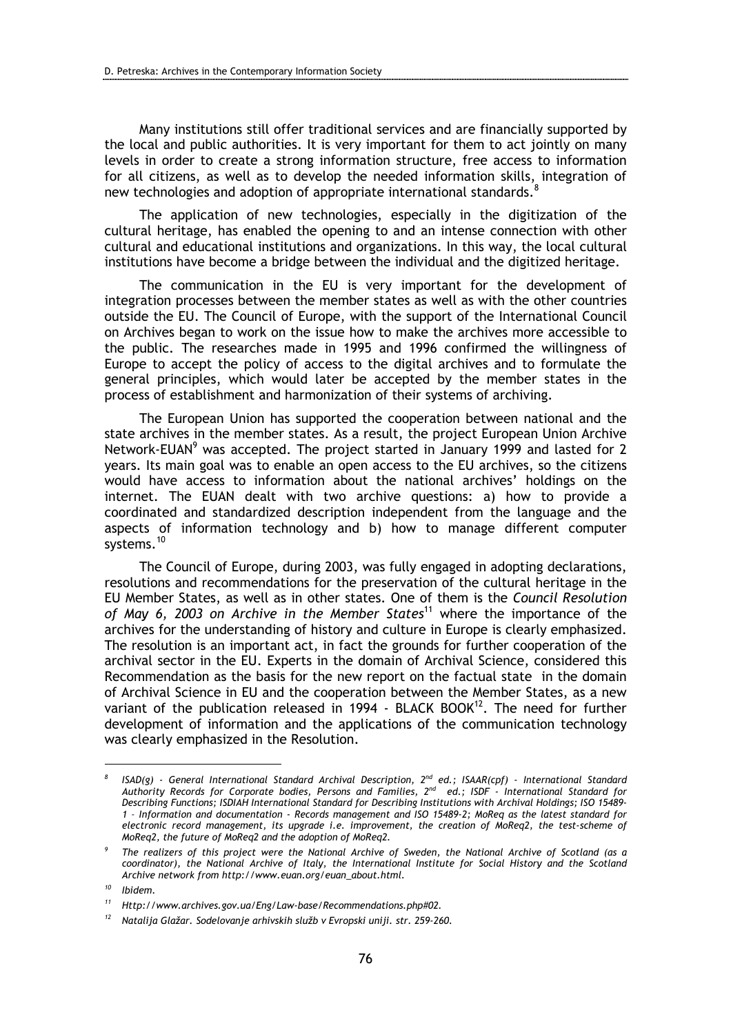Many institutions still offer traditional services and are financially supported by the local and public authorities. It is very important for them to act jointly on many levels in order to create a strong information structure, free access to information for all citizens, as well as to develop the needed information skills, integration of new technologies and adoption of appropriate international standards.<sup>8</sup>

The application of new technologies, especially in the digitization of the cultural heritage, has enabled the opening to and an intense connection with other cultural and educational institutions and organizations. In this way, the local cultural institutions have become a bridge between the individual and the digitized heritage.

The communication in the EU is very important for the development of integration processes between the member states as well as with the other countries outside the EU. The Council of Europe, with the support of the International Council on Archives began to work on the issue how to make the archives more accessible to the public. The researches made in 1995 and 1996 confirmed the willingness of Europe to accept the policy of access to the digital archives and to formulate the general principles, which would later be accepted by the member states in the process of establishment and harmonization of their systems of archiving.

The European Union has supported the cooperation between national and the state archives in the member states. As a result, the project European Union Archive Network-EUAN<sup>9</sup> was accepted. The project started in January 1999 and lasted for 2 years. Its main goal was to enable an open access to the EU archives, so the citizens would have access to information about the national archives' holdings on the internet. The EUAN dealt with two archive questions: a) how to provide a coordinated and standardized description independent from the language and the aspects of information technology and b) how to manage different computer systems.<sup>10</sup>

The Council of Europe, during 2003, was fully engaged in adopting declarations, resolutions and recommendations for the preservation of the cultural heritage in the EU Member States, as well as in other states. One of them is the Council Resolution of May 6, 2003 on Archive in the Member States<sup>11</sup> where the importance of the archives for the understanding of history and culture in Europe is clearly emphasized. The resolution is an important act, in fact the grounds for further cooperation of the archival sector in the EU. Experts in the domain of Archival Science, considered this Recommendation as the basis for the new report on the factual state in the domain of Archival Science in EU and the cooperation between the Member States, as a new variant of the publication released in 1994 - BLACK BOOK $12$ . The need for further development of information and the applications of the communication technology was clearly emphasized in the Resolution.

<sup>8</sup>  $ISAD(q)$  - General International Standard Archival Description,  $2^{nd}$  ed.; ISAAR(cpf) - International Standard Authority Records for Corporate bodies, Persons and Families, 2nd ed.; ISDF - International Standard for Describing Functions; ISDIAH International Standard for Describing Institutions with Archival Holdings; ISO 15489- 1 - Information and documentation - Records management and ISO 15489-2; MoReq as the latest standard for electronic record management, its upgrade i.e. improvement, the creation of MoReq2, the test-scheme of MoReq2, the future of MoReq2 and the adoption of MoReq2.

<sup>9</sup> The realizers of this project were the National Archive of Sweden, the National Archive of Scotland (as a coordinator), the National Archive of Italy, the International Institute for Social History and the Scotland Archive network from http://www.euan.org/euan\_about.html.

<sup>10</sup> Ibidem.

<sup>11</sup> Http://www.archives.gov.ua/Eng/Law-base/Recommendations.php#02.

<sup>12</sup> Natalija Glažar. Sodelovanje arhivskih služb v Evropski uniji. str. 259-260.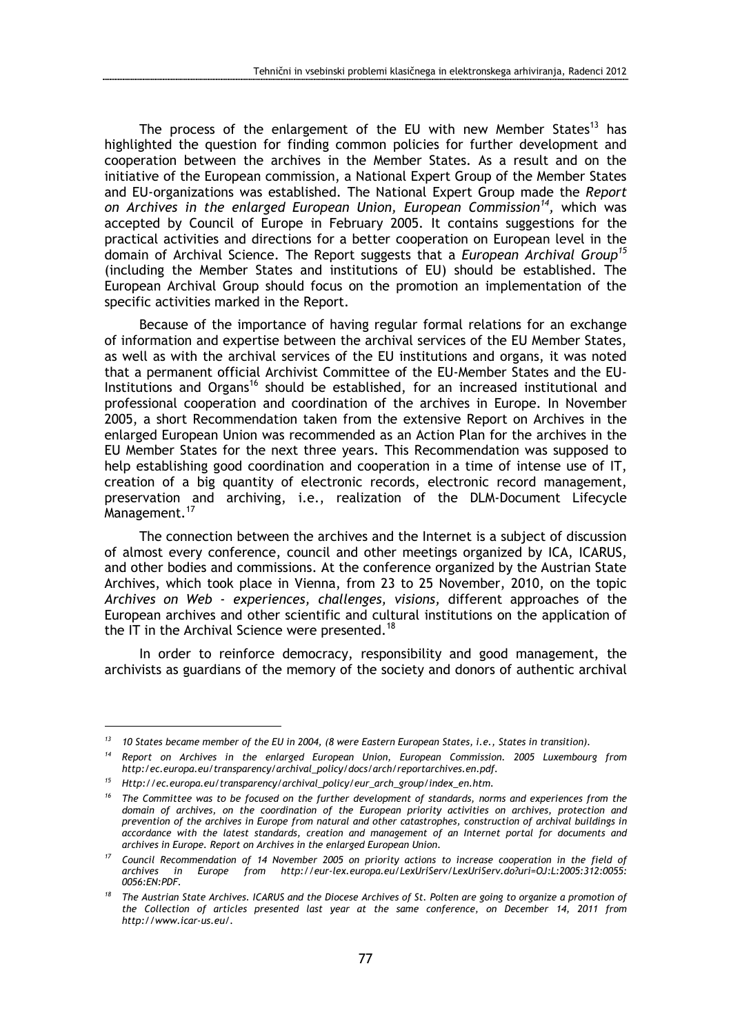The process of the enlargement of the EU with new Member States<sup>13</sup> has highlighted the question for finding common policies for further development and cooperation between the archives in the Member States. As a result and on the initiative of the European commission, a National Expert Group of the Member States and EU-organizations was established. The National Expert Group made the Report on Archives in the enlarged European Union, European Commission<sup>14</sup>, which was accepted by Council of Europe in February 2005. It contains suggestions for the practical activities and directions for a better cooperation on European level in the domain of Archival Science. The Report suggests that a European Archival Group<sup>15</sup> (including the Member States and institutions of EU) should be established. The European Archival Group should focus on the promotion an implementation of the specific activities marked in the Report.

Because of the importance of having regular formal relations for an exchange of information and expertise between the archival services of the EU Member States, as well as with the archival services of the EU institutions and organs, it was noted that a permanent official Archivist Committee of the EU-Member States and the EU-Institutions and Organs<sup>16</sup> should be established, for an increased institutional and professional cooperation and coordination of the archives in Europe. In November 2005, a short Recommendation taken from the extensive Report on Archives in the enlarged European Union was recommended as an Action Plan for the archives in the EU Member States for the next three years. This Recommendation was supposed to help establishing good coordination and cooperation in a time of intense use of IT, creation of a big quantity of electronic records, electronic record management, preservation and archiving, i.e., realization of the DLM-Document Lifecycle Management.<sup>17</sup>

The connection between the archives and the Internet is a subject of discussion of almost every conference, council and other meetings organized by ICA, ICARUS, and other bodies and commissions. At the conference organized by the Austrian State Archives, which took place in Vienna, from 23 to 25 November, 2010, on the topic Archives on Web - experiences, challenges, visions, different approaches of the European archives and other scientific and cultural institutions on the application of the IT in the Archival Science were presented.<sup>18</sup>

In order to reinforce democracy, responsibility and good management, the archivists as guardians of the memory of the society and donors of authentic archival

 $13$  10 States became member of the EU in 2004, (8 were Eastern European States, i.e., States in transition).

<sup>&</sup>lt;sup>14</sup> Report on Archives in the enlarged European Union, European Commission. 2005 Luxembourg from http:/ec.europa.eu/transparency/archival\_policy/docs/arch/reportarchives.en.pdf.

<sup>&</sup>lt;sup>15</sup> Http://ec.europa.eu/transparency/archival\_policy/eur\_arch\_group/index\_en.htm.

<sup>&</sup>lt;sup>16</sup> The Committee was to be focused on the further development of standards, norms and experiences from the domain of archives, on the coordination of the European priority activities on archives, protection and prevention of the archives in Europe from natural and other catastrophes, construction of archival buildings in accordance with the latest standards, creation and management of an Internet portal for documents and archives in Europe. Report on Archives in the enlarged European Union.

<sup>&</sup>lt;sup>17</sup> Council Recommendation of 14 November 2005 on priority actions to increase cooperation in the field of archives in Europe from http://eur-lex.europa.eu/LexUriServ/LexUriServ.do?uri= $\Omega$ ............................... in Europe from http://eur-lex.europa.eu/LexUriServ/LexUriServ.do?uri=OJ:L:2005:312:0055: 0056:EN:PDF.

 $18$  The Austrian State Archives. ICARUS and the Diocese Archives of St. Polten are going to organize a promotion of the Collection of articles presented last year at the same conference, on December 14, 2011 from http://www.icar-us.eu/.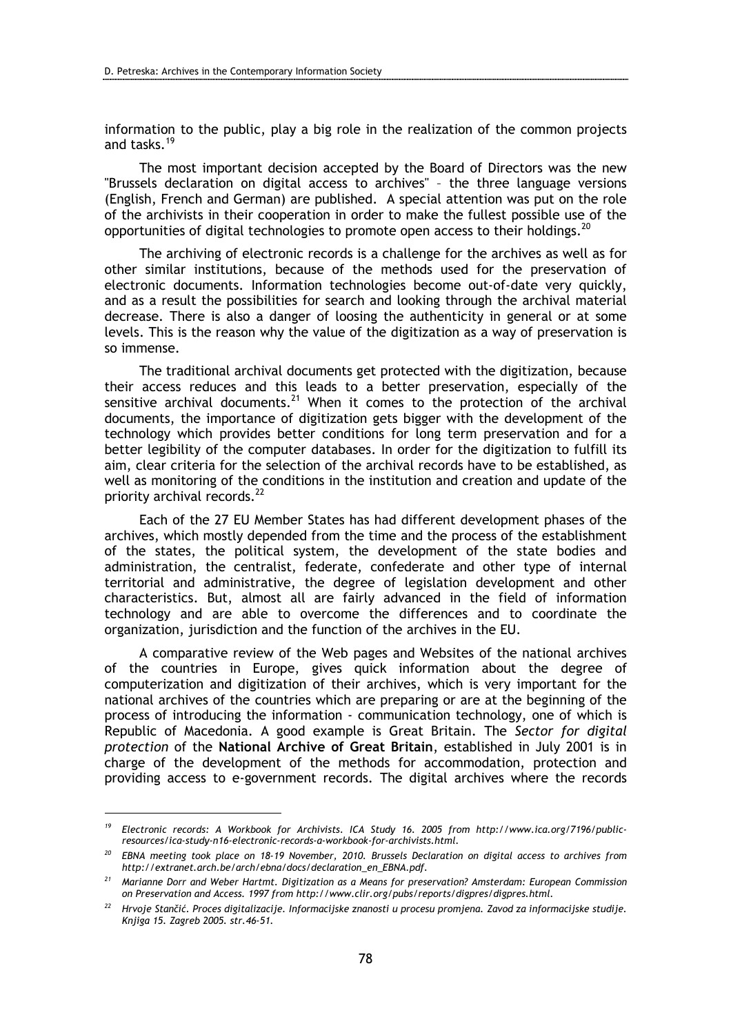information to the public, play a big role in the realization of the common projects and tasks<sup>19</sup>

The most important decision accepted by the Board of Directors was the new "Brussels declaration on digital access to archives" – the three language versions (English, French and German) are published. A special attention was put on the role of the archivists in their cooperation in order to make the fullest possible use of the opportunities of digital technologies to promote open access to their holdings.<sup>20</sup>

The archiving of electronic records is a challenge for the archives as well as for other similar institutions, because of the methods used for the preservation of electronic documents. Information technologies become out-of-date very quickly, and as a result the possibilities for search and looking through the archival material decrease. There is also a danger of loosing the authenticity in general or at some levels. This is the reason why the value of the digitization as a way of preservation is so immense.

The traditional archival documents get protected with the digitization, because their access reduces and this leads to a better preservation, especially of the sensitive archival documents.<sup>21</sup> When it comes to the protection of the archival documents, the importance of digitization gets bigger with the development of the technology which provides better conditions for long term preservation and for a better legibility of the computer databases. In order for the digitization to fulfill its aim, clear criteria for the selection of the archival records have to be established, as well as monitoring of the conditions in the institution and creation and update of the priority archival records.<sup>22</sup>

Each of the 27 EU Member States has had different development phases of the archives, which mostly depended from the time and the process of the establishment of the states, the political system, the development of the state bodies and administration, the centralist, federate, confederate and other type of internal territorial and administrative, the degree of legislation development and other characteristics. But, almost all are fairly advanced in the field of information technology and are able to overcome the differences and to coordinate the organization, jurisdiction and the function of the archives in the EU.

A comparative review of the Web pages and Websites of the national archives of the countries in Europe, gives quick information about the degree of computerization and digitization of their archives, which is very important for the national archives of the countries which are preparing or are at the beginning of the process of introducing the information - communication technology, one of which is Republic of Macedonia. A good example is Great Britain. The Sector for digital protection of the National Archive of Great Britain, established in July 2001 is in charge of the development of the methods for accommodation, protection and providing access to e-government records. The digital archives where the records

<sup>&</sup>lt;sup>19</sup> Electronic records: A Workbook for Archivists. ICA Study 16. 2005 from http://www.ica.org/7196/publicresources/ica-study-n16-electronic-records-a-workbook-for-archivists.html.

 $20$  EBNA meeting took place on 18-19 November, 2010. Brussels Declaration on digital access to archives from http://extranet.arch.be/arch/ebna/docs/declaration\_en\_EBNA.pdf.

 $21$  Marianne Dorr and Weber Hartmt. Digitization as a Means for preservation? Amsterdam: European Commission on Preservation and Access. 1997 from http://www.clir.org/pubs/reports/digpres/digpres.html.

<sup>&</sup>lt;sup>22</sup> Hrvoje Stančić. Proces digitalizacije. Informacijske znanosti u procesu promjena. Zavod za informacijske studije. Knjiga 15. Zagreb 2005. str.46-51.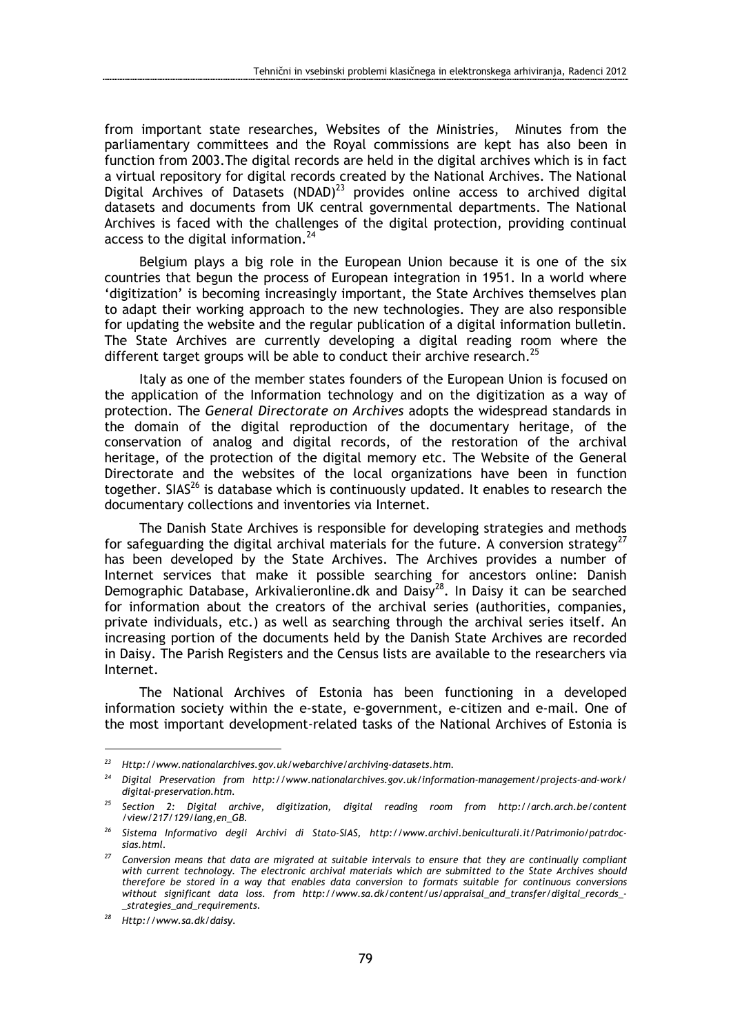from important state researches, Websites of the Ministries, Minutes from the parliamentary committees and the Royal commissions are kept has also been in function from 2003.The digital records are held in the digital archives which is in fact a virtual repository for digital records created by the National Archives. The National Digital Archives of Datasets (NDAD) $^{23}$  provides online access to archived digital datasets and documents from UK central governmental departments. The National Archives is faced with the challenges of the digital protection, providing continual access to the digital information.<sup>24</sup>

Belgium plays a big role in the European Union because it is one of the six countries that begun the process of European integration in 1951. In a world where 'digitization' is becoming increasingly important, the State Archives themselves plan to adapt their working approach to the new technologies. They are also responsible for updating the website and the regular publication of a digital information bulletin. The State Archives are currently developing a digital reading room where the different target groups will be able to conduct their archive research.<sup>25</sup>

Italy as one of the member states founders of the European Union is focused on the application of the Information technology and on the digitization as a way of protection. The General Directorate on Archives adopts the widespread standards in the domain of the digital reproduction of the documentary heritage, of the conservation of analog and digital records, of the restoration of the archival heritage, of the protection of the digital memory etc. The Website of the General Directorate and the websites of the local organizations have been in function together. SIAS $^{26}$  is database which is continuously updated. It enables to research the documentary collections and inventories via Internet.

The Danish State Archives is responsible for developing strategies and methods for safeguarding the digital archival materials for the future. A conversion strategy<sup>27</sup> has been developed by the State Archives. The Archives provides a number of Internet services that make it possible searching for ancestors online: Danish Demographic Database, Arkivalieronline.dk and Daisy<sup>28</sup>. In Daisy it can be searched for information about the creators of the archival series (authorities, companies, private individuals, etc.) as well as searching through the archival series itself. An increasing portion of the documents held by the Danish State Archives are recorded in Daisy. The Parish Registers and the Census lists are available to the researchers via Internet.

The National Archives of Estonia has been functioning in a developed information society within the e-state, e-government, e-citizen and e-mail. One of the most important development-related tasks of the National Archives of Estonia is

<sup>23</sup> Http://www.nationalarchives.gov.uk/webarchive/archiving-datasets.htm.

 $24$  Digital Preservation from http://www.nationalarchives.gov.uk/information-management/projects-and-work/ digital-preservation.htm.

<sup>&</sup>lt;sup>25</sup> Section 2: Digital archive, digitization, digital reading room from http://arch.arch.be/content /view/217/129/lang,en\_GB.

<sup>&</sup>lt;sup>26</sup> Sistema Informativo degli Archivi di Stato-SIAS, http://www.archivi.beniculturali.it/Patrimonio/patrdocsias.html.

 $27$  Conversion means that data are migrated at suitable intervals to ensure that they are continually compliant with current technology. The electronic archival materials which are submitted to the State Archives should therefore be stored in a way that enables data conversion to formats suitable for continuous conversions without significant data loss. from http://www.sa.dk/content/us/appraisal\_and\_transfer/digital\_records\_- \_strategies\_and\_requirements.

<sup>28</sup> Http://www.sa.dk/daisy.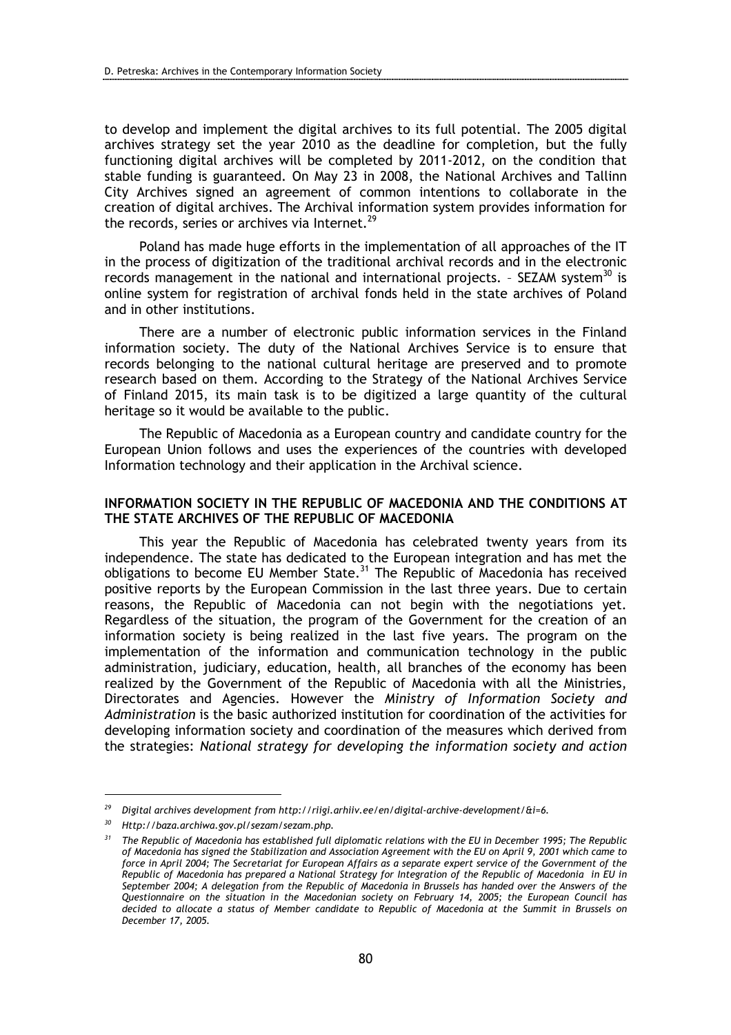to develop and implement the digital archives to its full potential. The 2005 digital archives strategy set the year 2010 as the deadline for completion, but the fully functioning digital archives will be completed by 2011-2012, on the condition that stable funding is guaranteed. On May 23 in 2008, the National Archives and Tallinn City Archives signed an agreement of common intentions to collaborate in the creation of digital archives. The Archival information system provides information for the records, series or archives via Internet.<sup>29</sup>

Poland has made huge efforts in the implementation of all approaches of the IT in the process of digitization of the traditional archival records and in the electronic records management in the national and international projects. - SEZAM system<sup>30</sup> is online system for registration of archival fonds held in the state archives of Poland and in other institutions.

There are a number of electronic public information services in the Finland information society. The duty of the National Archives Service is to ensure that records belonging to the national cultural heritage are preserved and to promote research based on them. According to the Strategy of the National Archives Service of Finland 2015, its main task is to be digitized a large quantity of the cultural heritage so it would be available to the public.

The Republic of Macedonia as a European country and candidate country for the European Union follows and uses the experiences of the countries with developed Information technology and their application in the Archival science.

# INFORMATION SOCIETY IN THE REPUBLIC OF MACEDONIA AND THE CONDITIONS AT THE STATE ARCHIVES OF THE REPUBLIC OF MACEDONIA

This year the Republic of Macedonia has celebrated twenty years from its independence. The state has dedicated to the European integration and has met the obligations to become EU Member State.<sup>31</sup> The Republic of Macedonia has received positive reports by the European Commission in the last three years. Due to certain reasons, the Republic of Macedonia can not begin with the negotiations yet. Regardless of the situation, the program of the Government for the creation of an information society is being realized in the last five years. The program on the implementation of the information and communication technology in the public administration, judiciary, education, health, all branches of the economy has been realized by the Government of the Republic of Macedonia with all the Ministries, Directorates and Agencies. However the Ministry of Information Society and Administration is the basic authorized institution for coordination of the activities for developing information society and coordination of the measures which derived from the strategies: National strategy for developing the information society and action

<sup>&</sup>lt;sup>29</sup> Digital archives development from http://riigi.arhiiv.ee/en/digital-archive-development/&i=6.

 $30$  Http://baza.archiwa.gov.pl/sezam/sezam.php.

 $31$  The Republic of Macedonia has established full diplomatic relations with the EU in December 1995; The Republic of Macedonia has signed the Stabilization and Association Agreement with the EU on April 9, 2001 which came to force in April 2004; The Secretariat for European Affairs as a separate expert service of the Government of the Republic of Macedonia has prepared a National Strategy for Integration of the Republic of Macedonia in EU in September 2004; A delegation from the Republic of Macedonia in Brussels has handed over the Answers of the Questionnaire on the situation in the Macedonian society on February 14, 2005; the European Council has decided to allocate a status of Member candidate to Republic of Macedonia at the Summit in Brussels on December 17, 2005.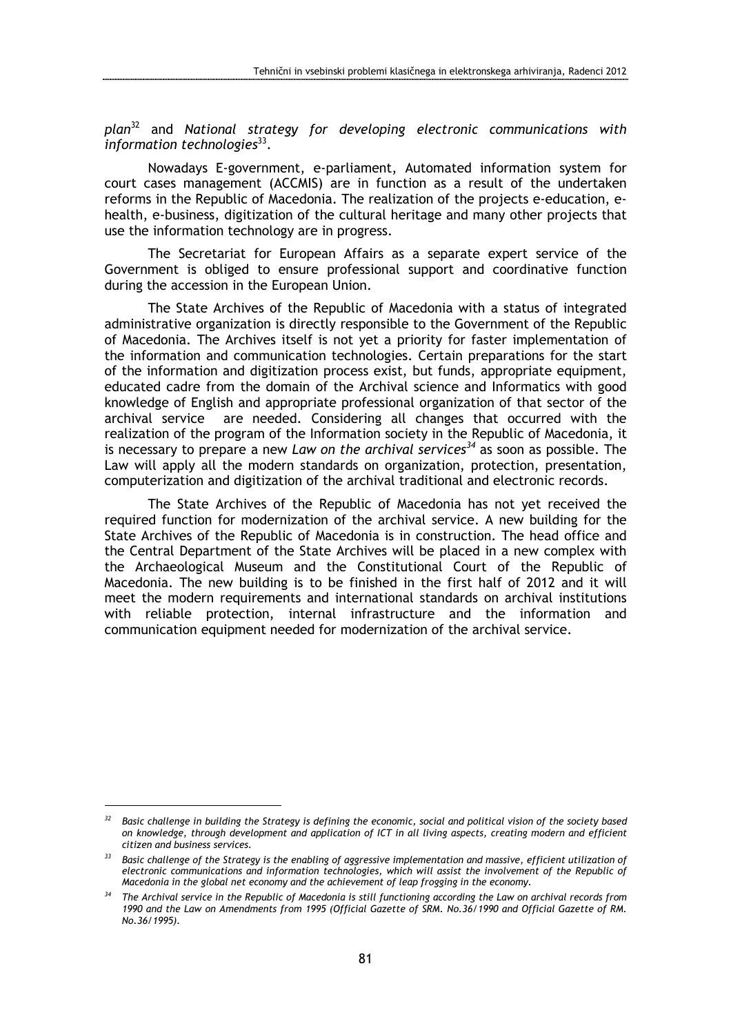$p$ lan<sup>32</sup> and National strategy for developing electronic communications with information technologies $^{33}$ .

 Nowadays E-government, e-parliament, Automated information system for court cases management (ACCMIS) are in function as a result of the undertaken reforms in the Republic of Macedonia. The realization of the projects e-education, ehealth, e-business, digitization of the cultural heritage and many other projects that use the information technology are in progress.

 The Secretariat for European Affairs as a separate expert service of the Government is obliged to ensure professional support and coordinative function during the accession in the European Union.

 The State Archives of the Republic of Macedonia with a status of integrated administrative organization is directly responsible to the Government of the Republic of Macedonia. The Archives itself is not yet a priority for faster implementation of the information and communication technologies. Certain preparations for the start of the information and digitization process exist, but funds, appropriate equipment, educated cadre from the domain of the Archival science and Informatics with good knowledge of English and appropriate professional organization of that sector of the archival service are needed. Considering all changes that occurred with the realization of the program of the Information society in the Republic of Macedonia, it is necessary to prepare a new Law on the archival services<sup>34</sup> as soon as possible. The Law will apply all the modern standards on organization, protection, presentation, computerization and digitization of the archival traditional and electronic records.

 The State Archives of the Republic of Macedonia has not yet received the required function for modernization of the archival service. A new building for the State Archives of the Republic of Macedonia is in construction. The head office and the Central Department of the State Archives will be placed in a new complex with the Archaeological Museum and the Constitutional Court of the Republic of Macedonia. The new building is to be finished in the first half of 2012 and it will meet the modern requirements and international standards on archival institutions with reliable protection, internal infrastructure and the information and communication equipment needed for modernization of the archival service.

 $32$  Basic challenge in building the Strategy is defining the economic, social and political vision of the society based on knowledge, through development and application of ICT in all living aspects, creating modern and efficient citizen and business services.

 $33$  Basic challenge of the Strategy is the enabling of aggressive implementation and massive, efficient utilization of electronic communications and information technologies, which will assist the involvement of the Republic of Macedonia in the global net economy and the achievement of leap frogging in the economy.

 $34$  The Archival service in the Republic of Macedonia is still functioning according the Law on archival records from 1990 and the Law on Amendments from 1995 (Official Gazette of SRM. No.36/1990 and Official Gazette of RM. No.36/1995).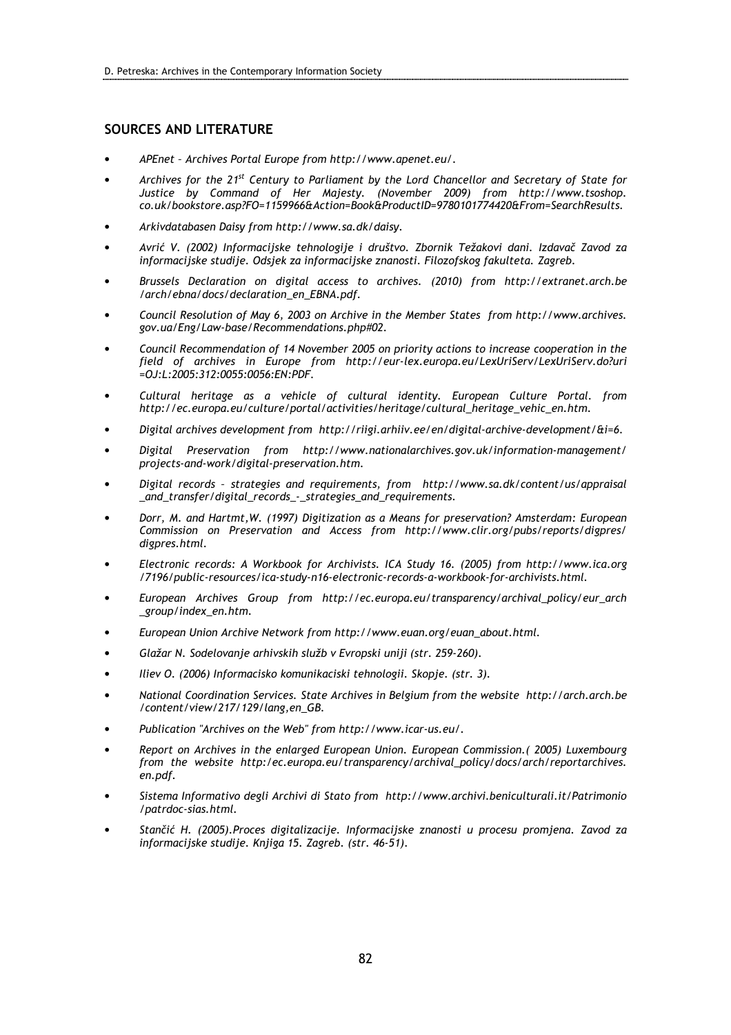### SOURCES AND LITERATURE

- APEnet Archives Portal Europe from http://www.apenet.eu/.
- Archives for the 21<sup>st</sup> Century to Parliament by the Lord Chancellor and Secretary of State for Justice by Command of Her Majesty. (November 2009) from http://www.tsoshop. co.uk/bookstore.asp?FO=1159966&Action=Book&ProductID=9780101774420&From=SearchResults.
- Arkivdatabasen Daisy from http://www.sa.dk/daisy.
- Avrić V. (2002) Informacijske tehnologije i društvo. Zbornik Težakovi dani. Izdavač Zavod za informacijske studije. Odsjek za informacijske znanosti. Filozofskog fakulteta. Zagreb.
- Brussels Declaration on digital access to archives. (2010) from http://extranet.arch.be /arch/ebna/docs/declaration\_en\_EBNA.pdf.
- Council Resolution of May 6, 2003 on Archive in the Member States from http://www.archives. gov.ua/Eng/Law-base/Recommendations.php#02.
- Council Recommendation of 14 November 2005 on priority actions to increase cooperation in the field of archives in Europe from http://eur-lex.europa.eu/LexUriServ/LexUriServ.do?uri =OJ:L:2005:312:0055:0056:EN:PDF.
- Cultural heritage as a vehicle of cultural identity. European Culture Portal. from http://ec.europa.eu/culture/portal/activities/heritage/cultural\_heritage\_vehic\_en.htm.
- Digital archives development from http://riigi.arhiiv.ee/en/digital-archive-development/&i=6.
- Digital Preservation from http://www.nationalarchives.gov.uk/information-management/ projects-and-work/digital-preservation.htm.
- Digital records strategies and requirements, from http://www.sa.dk/content/us/appraisal \_and\_transfer/digital\_records\_-\_strategies\_and\_requirements.
- Dorr, M. and Hartmt,W. (1997) Digitization as a Means for preservation? Amsterdam: European Commission on Preservation and Access from http://www.clir.org/pubs/reports/digpres/ digpres.html.
- Electronic records: A Workbook for Archivists. ICA Study 16. (2005) from http://www.ica.org /7196/public-resources/ica-study-n16-electronic-records-a-workbook-for-archivists.html.
- European Archives Group from http://ec.europa.eu/transparency/archival\_policy/eur\_arch \_group/index\_en.htm.
- European Union Archive Network from http://www.euan.org/euan\_about.html.
- Glažar N. Sodelovanje arhivskih služb v Evropski uniji (str. 259-260).
- Iliev O. (2006) Informacisko komunikaciski tehnologii. Skopje. (str. 3).
- National Coordination Services. State Archives in Belgium from the website http://arch.arch.be /content/view/217/129/lang,en\_GB.
- Publication "Archives on the Web" from http://www.icar-us.eu/.
- Report on Archives in the enlarged European Union. European Commission.( 2005) Luxembourg from the website http:/ec.europa.eu/transparency/archival\_policy/docs/arch/reportarchives. en.pdf.
- Sistema Informativo degli Archivi di Stato from http://www.archivi.beniculturali.it/Patrimonio /patrdoc-sias.html.
- Stančić H. (2005).Proces digitalizacije. Informacijske znanosti u procesu promjena. Zavod za informacijske studije. Knjiga 15. Zagreb. (str. 46-51).